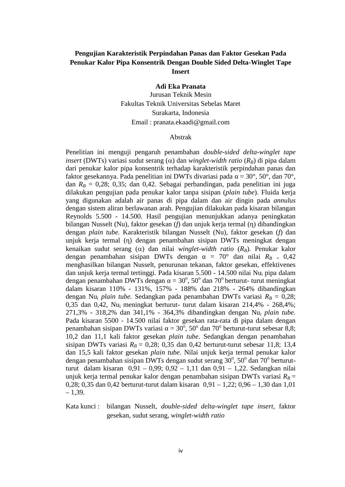# **Pengujian Karakteristik Perpindahan Panas dan Faktor Gesekan Pada Penukar Kalor Pipa Konsentrik Dengan Double Sided Delta-Winglet Tape Insert**

**Adi Eka Pranata** Jurusan Teknik Mesin Fakultas Teknik Universitas Sebelas Maret Surakarta, Indonesia Email : pranata.ekaadi@gmail.com

#### Abstrak

Penelitian ini menguji pengaruh penambahan *double-sided delta-winglet tape insert* (DWTs) variasi sudut serang ( $\alpha$ ) dan *winglet-width ratio* ( $R_B$ ) di pipa dalam dari penukar kalor pipa konsentrik terhadap karakteristik perpindahan panas dan faktor gesekannya. Pada penelitian ini DWTs divariasi pada =  $30^{\circ}$ ,  $50^{\circ}$ , dan  $70^{\circ}$ , dan  $R_B = 0.28$ ; 0,35; dan 0,42. Sebagai perbandingan, pada penelitian ini juga dilakukan pengujian pada penukar kalor tanpa sisipan (*plain tube*). Fluida kerja yang digunakan adalah air panas di pipa dalam dan air dingin pada *annulus* dengan sistem aliran berlawanan arah. Pengujian dilakukan pada kisaran bilangan Reynolds 5.500 - 14.500. Hasil pengujian menunjukkan adanya peningkatan bilangan Nusselt (Nu), faktor gesekan (*f*) dan unjuk kerja termal () dibandingkan dengan *plain tube.* Karakteristik bilangan Nusselt (Nu), faktor gesekan (*f*) dan unjuk kerja termal () dengan penambahan sisipan DWTs meningkat dengan kenaikan sudut serang ( $\alpha$ ) dan nilai *winglet-width ratio* ( $R_B$ ). Penukar kalor dengan penambahan sisipan DWTs dengan =  $70^{\circ}$  dan nilai  $R_{B} = 0.42$ menghasilkan bilangan Nusselt, penurunan tekanan, faktor gesekan, effektivenes dan unjuk kerja termal tertinggi. Pada kisaran 5.500 - 14.500 nilai Nu<sup>i</sup> pipa dalam dengan penambahan DWTs dengan =  $30^{\circ}$ ,  $50^{\circ}$  dan  $70^{\circ}$  berturut- turut meningkat dalam kisaran 110% - 131%, 157% - 188% dan 218% - 264% dibandingkan dengan Nu<sub>i</sub> *plain tube.* Sedangkan pada penambahan DWTs variasi  $R_B = 0.28$ ; 0,35 dan 0,42, Nu<sup>i</sup> meningkat berturut- turut dalam kisaran 214,4% - 268,4%; 271,3% - 318,2% dan 341,1% - 364,3% dibandingkan dengan Nu<sup>i</sup> *plain tube.* Pada kisaran 5500 - 14.500 nilai faktor gesekan rata-rata di pipa dalam dengan penambahan sisipan DWTs variasi =  $30^{\circ}$ ,  $50^{\circ}$  dan  $70^{\circ}$  berturut-turut sebesar 8,8; 10,2 dan 11,1 kali faktor gesekan *plain tube*. Sedangkan dengan penambahan sisipan DWTs variasi  $R_B = 0.28$ ; 0,35 dan 0,42 berturut-turut sebesar 11,8; 13,4 dan 15,5 kali faktor gesekan *plain tube*. Nilai unjuk kerja termal penukar kalor dengan penambahan sisipan DWTs dengan sudut serang  $30^{\circ}$ ,  $50^{\circ}$  dan  $70^{\circ}$  berturutturut dalam kisaran 0,91 – 0,99; 0,92 – 1,11 dan 0,91 – 1,22. Sedangkan nilai unjuk kerja termal penukar kalor dengan penambahan sisipan DWTs variasi  $R_B =$ 0,28; 0,35 dan 0,42 berturut-turut dalam kisaran 0,91 – 1,22; 0,96 – 1,30 dan 1,01  $-1,39.$ 

## Kata kunci : bilangan Nusselt, *double-sided delta-winglet tape insert,* faktor gesekan, sudut serang, *winglet-width ratio*